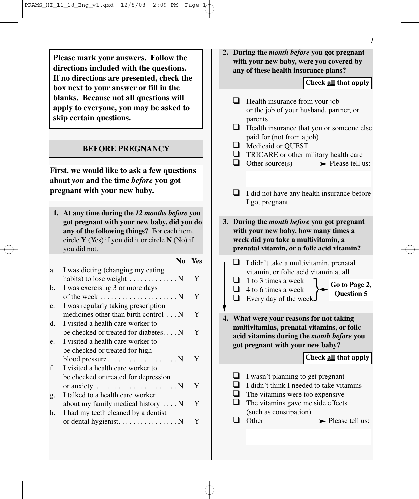**Please mark your answers. Follow the directions included with the questions. If no directions are presented, check the box next to your answer or fill in the blanks. Because not all questions will apply to everyone, you may be asked to skip certain questions.**

#### **BEFORE PREGNANCY**

**First, we would like to ask a few questions about** *you* **and the time** *before* **you got pregnant with your new baby.** 

**1. At any time during the** *12 months before* **you got pregnant with your new baby, did you do any of the following things?** For each item, circle **Y** (Yes) if you did it or circle **N** (No) if you did not.

|                |                                                        | No | <b>Yes</b> |
|----------------|--------------------------------------------------------|----|------------|
| a.             | I was dieting (changing my eating                      |    |            |
|                | habits) to lose weight $\dots \dots \dots \dots$       |    | Y          |
| b.             | I was exercising 3 or more days                        |    |            |
|                |                                                        |    | Y          |
| $\mathbf{c}$ . | I was regularly taking prescription                    |    |            |
|                | medicines other than birth control N                   |    | Y          |
| d.             | I visited a health care worker to                      |    |            |
|                | be checked or treated for diabetes $N$                 |    | Y          |
| e.             | I visited a health care worker to                      |    |            |
|                | be checked or treated for high                         |    |            |
|                |                                                        |    | Y          |
| f.             | I visited a health care worker to                      |    |            |
|                | be checked or treated for depression                   |    |            |
|                | or anxiety $\dots \dots \dots \dots \dots \dots \dots$ |    | Y          |
| g.             | I talked to a health care worker                       |    |            |
|                | about my family medical history $\dots$ .              |    | Y          |
| h.             | I had my teeth cleaned by a dentist                    |    |            |
|                | or dental hygienist. N                                 |    | Y          |
|                |                                                        |    |            |

**2. During the** *month before* **you got pregnant with your new baby, were you covered by any of these health insurance plans?**

# **Check all that apply**

|    | $\Box$                            | Health insurance from your job<br>or the job of your husband, partner, or                                                                                                                                         |
|----|-----------------------------------|-------------------------------------------------------------------------------------------------------------------------------------------------------------------------------------------------------------------|
|    | $\Box$                            | parents<br>Health insurance that you or someone else                                                                                                                                                              |
|    | $\Box$                            | paid for (not from a job)<br>Medicaid or QUEST<br>TRICARE or other military health care<br>Other source(s) $\longrightarrow$ Please tell us:                                                                      |
|    | ┚                                 | I did not have any health insurance before<br>I got pregnant                                                                                                                                                      |
| 3. |                                   | During the <i>month before</i> you got pregnant<br>with your new baby, how many times a<br>week did you take a multivitamin, a<br>prenatal vitamin, or a folic acid vitamin?                                      |
|    |                                   | I didn't take a multivitamin, prenatal                                                                                                                                                                            |
|    | $\Box$<br>$\overline{\mathsf{L}}$ | vitamin, or folic acid vitamin at all<br>1 to 3 times a week<br>Go to Page 2,<br>Question 5<br>4 to 6 times a week<br>Every day of the week.                                                                      |
|    |                                   | What were your reasons for not taking<br>multivitamins, prenatal vitamins, or folic<br>acid vitamins during the month before you<br>got pregnant with your new baby?<br>Check all that apply                      |
|    | $\Box$                            | I wasn't planning to get pregnant<br>I didn't think I needed to take vitamins<br>The vitamins were too expensive<br>The vitamins gave me side effects<br>(such as constipation)<br>$Other -$<br>- Please tell us: |
|    |                                   |                                                                                                                                                                                                                   |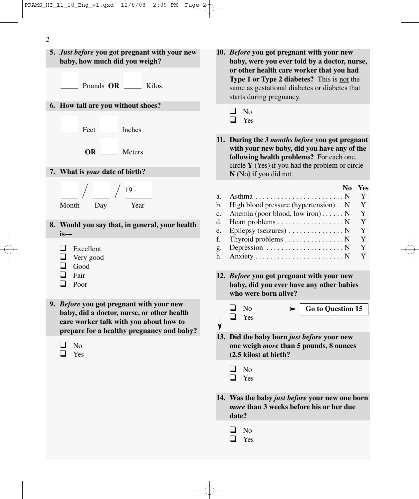

- **10.** *Before* **you got pregnant with your new baby, were you ever told by a doctor, nurse, or other health care worker that you had Type 1 or Type 2 diabetes?** This is not the same as gestational diabetes or diabetes that starts during pregnancy.
	- ❑ No
	- ❑ Yes
- **11. During the** *3 months before* **you got pregnant with your new baby, did you have any of the following health problems?** For each one, circle **Y** (Yes) if you had the problem or circle **N** (No) if you did not.
	- **No Yes**
- a. Asthma . . . . . . . . . . . . . . . . . . . . . . . . N Y b. High blood pressure (hypertension) . . N Y c. Anemia (poor blood, low iron)......  $N$  Y d. Heart problems  $\dots \dots \dots \dots \dots \dots N$  Y e. Epilepsy (seizures)  $\dots$ ............... N Y f. Thyroid problems  $\dots \dots \dots \dots \dots \dots$  N Y g. Depression  $\dots \dots \dots \dots \dots \dots \dots N$  Y h. Anxiety . . . . . . . . . . . . . . . . . . . . . . . . N Y
- **12.** *Before* **you got pregnant with your new baby, did you ever have any other babies who were born alive?**



- **13. Did the baby born** *just before* **your new one weigh** *more* **than 5 pounds, 8 ounces (2.5 kilos) at birth?**
	- ❑ No
	- ❑ Yes
- **14. Was the baby** *just before* **your new one born** *more* **than 3 weeks before his or her due date?**
	- ❑ No
	- ❑ Yes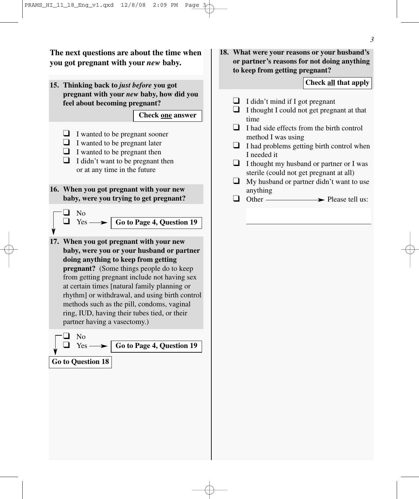**The next questions are about the time when you got pregnant with your** *new* **baby.**

**15. Thinking back to** *just before* **you got pregnant with your** *new* **baby, how did you feel about becoming pregnant?**

### **Check one answer**

- ❑ I wanted to be pregnant sooner
- $\Box$  I wanted to be pregnant later
- $\Box$  I wanted to be pregnant then
- $\Box$  I didn't want to be pregnant then or at any time in the future
- **16. When you got pregnant with your new baby, were you trying to get pregnant?**

❑ No  $\Box$  Yes —

**Go to Page 4, Question 19**

**17. When you got pregnant with your new baby, were you or your husband or partner doing anything to keep from getting pregnant?** (Some things people do to keep from getting pregnant include not having sex at certain times [natural family planning or rhythm] or withdrawal, and using birth control methods such as the pill, condoms, vaginal ring, IUD, having their tubes tied, or their partner having a vasectomy.)



**18. What were your reasons or your husband's or partner's reasons for not doing anything to keep from getting pregnant?**

## **Check all that apply**

- $\Box$  I didn't mind if I got pregnant
- ❑ I thought I could not get pregnant at that time
- ❑ I had side effects from the birth control method I was using
- ❑ I had problems getting birth control when I needed it
- $\Box$  I thought my husband or partner or I was sterile (could not get pregnant at all)
- $\Box$  My husband or partner didn't want to use anything
- $Other \longrightarrow$  Please tell us: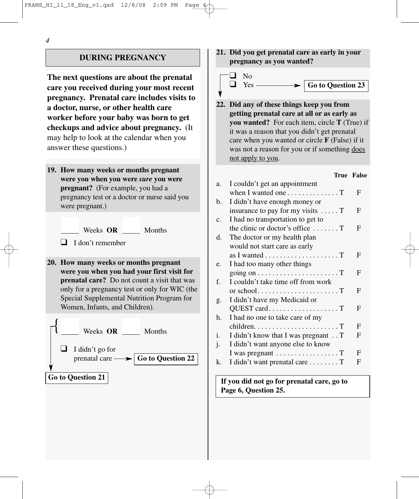#### *4*

# **DURING PREGNANCY**

**The next questions are about the prenatal care you received during your most recent pregnancy. Prenatal care includes visits to a doctor, nurse, or other health care worker before your baby was born to get checkups and advice about pregnancy.** (It may help to look at the calendar when you answer these questions.)

- **19. How many weeks or months pregnant were you when you were** *sure* **you were pregnant?** (For example, you had a pregnancy test or a doctor or nurse said you were pregnant.)
	- Weeks **OR** Months

- ❑ I don't remember
- **20. How many weeks or months pregnant were you when you had your first visit for prenatal care?** Do not count a visit that was only for a pregnancy test or only for WIC (the Special Supplemental Nutrition Program for Women, Infants, and Children).



**21. Did you get prenatal care as early in your pregnancy as you wanted?**



**22. Did any of these things keep you from getting prenatal care at all or as early as you wanted?** For each item, circle **T** (True) if it was a reason that you didn't get prenatal care when you wanted or circle **F** (False) if it was not a reason for you or if something does not apply to you.

#### **True False**

| a.             | I couldn't get an appointment                           |   |
|----------------|---------------------------------------------------------|---|
|                | when I wanted one $\dots \dots \dots \dots \dots$       | F |
| b.             | I didn't have enough money or                           |   |
|                | insurance to pay for my visits $\dots$ . T              | F |
| C <sub>1</sub> | I had no transportation to get to                       |   |
|                | the clinic or doctor's office $\dots$                   | F |
| d.             | The doctor or my health plan                            |   |
|                | would not start care as early                           |   |
|                | as I wanted $\dots \dots \dots \dots \dots \dots \dots$ | F |
| e.             | I had too many other things                             |   |
|                | going on $\dots \dots \dots \dots \dots \dots \dots$    | F |
| f.             | I couldn't take time off from work                      |   |
|                |                                                         | F |
| g.             | I didn't have my Medicaid or                            |   |
|                | QUEST cardT                                             | F |
| h.             | I had no one to take care of my                         |   |
|                |                                                         | F |
| i.             | I didn't know that I was pregnant T                     | F |
| $\mathbf{1}$   | I didn't want anyone else to know                       |   |
|                | I was pregnant $\dots \dots \dots \dots \dots$          | F |
| k.             | I didn't want prenatal care T                           | F |

**If you did not go for prenatal care, go to Page 6, Question 25.**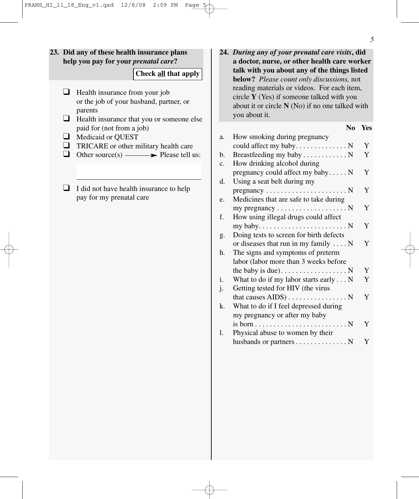# **23. Did any of these health insurance plans help you pay for your** *prenatal care***?**

#### **Check all that apply**

- ❑ Health insurance from your job or the job of your husband, partner, or parents
- ❑ Health insurance that you or someone else paid for (not from a job)
- ❑ Medicaid or QUEST
- ❑ TRICARE or other military health care
- $\Box$  Other source(s)  $\longrightarrow$  Please tell us:
- $\Box$  I did not have health insurance to help pay for my prenatal care

**24.** *During any of your prenatal care visits***, did a doctor, nurse, or other health care worker talk with you about any of the things listed below?** *Please count only discussions,* not reading materials or videos. For each item, circle **Y** (Yes) if someone talked with you about it or circle **N** (No) if no one talked with you about it.

|                | N <sub>0</sub>                                                  | Yes |
|----------------|-----------------------------------------------------------------|-----|
| a.             | How smoking during pregnancy                                    |     |
|                |                                                                 | Y   |
| b.             | Breastfeeding my baby N                                         | Y   |
| $\mathbf{c}$ . | How drinking alcohol during                                     |     |
|                | pregnancy could affect my baby N                                | Y   |
| d.             | Using a seat belt during my                                     |     |
|                | $pregnancy \ldots \ldots \ldots \ldots \ldots \ldots \ldots$    | Y   |
| e.             | Medicines that are safe to take during                          |     |
|                | my pregnancy $\dots \dots \dots \dots \dots \dots$              | Y   |
| f.             | How using illegal drugs could affect                            |     |
|                |                                                                 | Y   |
| g.             | Doing tests to screen for birth defects                         |     |
|                | or diseases that run in my family $\dots$ N                     | Y   |
| h.             | The signs and symptoms of preterm                               |     |
|                | labor (labor more than 3 weeks before                           |     |
|                | the baby is due). $\dots \dots \dots \dots \dots \dots$         | Y   |
| i.             | What to do if my labor starts early N                           | Y   |
| $\cdot$        | Getting tested for HIV (the virus                               |     |
|                | that causes $AIDS$ ) N                                          | Y   |
| k.             | What to do if I feel depressed during                           |     |
|                | my pregnancy or after my baby                                   |     |
|                | is born $\dots \dots \dots \dots \dots \dots \dots \dots \dots$ | Y   |
| 1.             | Physical abuse to women by their                                |     |
|                | husbands or partners N                                          | Y   |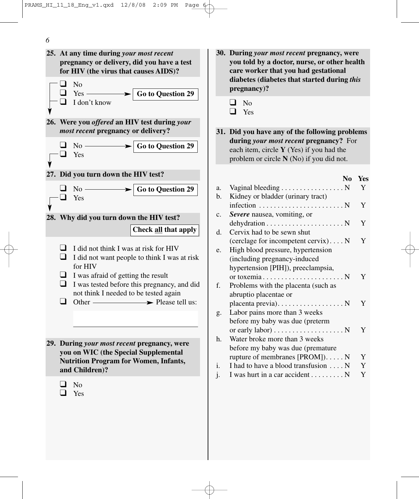

- **30. During** *your most recent* **pregnancy, were you told by a doctor, nurse, or other health care worker that you had gestational diabetes (diabetes that started during** *this*
- **31. Did you have any of the following problems during** *your most recent* **pregnancy?** For each item, circle **Y** (Yes) if you had the problem or circle **N** (No) if you did not.

### **No Yes**

| a.             | Vaginal bleeding N                                             | Y |
|----------------|----------------------------------------------------------------|---|
| b.             | Kidney or bladder (urinary tract)                              |   |
|                | infection $\dots \dots \dots \dots \dots \dots \dots \dots$    | Y |
| $\mathbf{c}$ . | Severe nausea, vomiting, or                                    |   |
|                | $dehydration \ldots \ldots \ldots \ldots \ldots \ldots \ldots$ | Y |
| d.             | Cervix had to be sewn shut                                     |   |
|                | (cerclage for incompetent cervix) $N$                          | Y |
| e.             | High blood pressure, hypertension                              |   |
|                | (including pregnancy-induced                                   |   |
|                | hypertension [PIH]), preeclampsia,                             |   |
|                |                                                                | Y |
| f.             | Problems with the placenta (such as                            |   |
|                | abruptio placentae or                                          |   |
|                | placenta previa). N                                            | Y |
| g.             | Labor pains more than 3 weeks                                  |   |
|                | before my baby was due (preterm                                |   |
|                | or early labor) $\dots \dots \dots \dots \dots \dots$          | Y |
| h.             | Water broke more than 3 weeks                                  |   |
|                | before my baby was due (premature                              |   |
|                | rupture of membranes $[PROM]$ ) N                              | Y |
| i.             | I had to have a blood transfusion N                            | Y |
| $\mathbf{1}$   | I was hurt in a car accident $\dots \dots \dots N$             | Y |
|                |                                                                |   |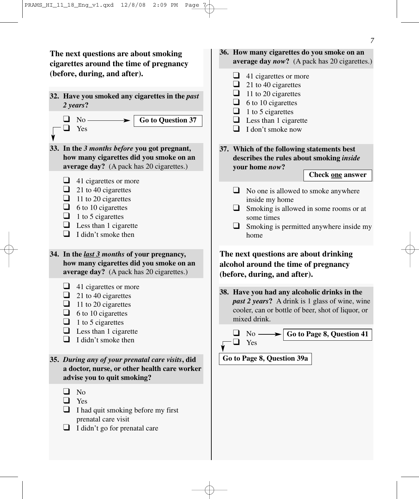**The next questions are about smoking cigarettes around the time of pregnancy (before, during, and after).**

- **32. Have you smoked any cigarettes in the** *past 2 years***?**
	- $\Box$  No -❑ Yes **Go to Question 37**
- **33. In the** *3 months before* **you got pregnant, how many cigarettes did you smoke on an average day?** (A pack has 20 cigarettes.)
	- $\Box$  41 cigarettes or more
	- $\Box$  21 to 40 cigarettes
	- $\Box$  11 to 20 cigarettes
	- $\Box$  6 to 10 cigarettes
	- $\Box$  1 to 5 cigarettes
	- $\Box$  Less than 1 cigarette
	- $\Box$  I didn't smoke then
- **34. In the** *last 3 months* **of your pregnancy, how many cigarettes did you smoke on an average day?** (A pack has 20 cigarettes.)
	- $\Box$  41 cigarettes or more
	- $\Box$  21 to 40 cigarettes
	- $\Box$  11 to 20 cigarettes
	- $\Box$  6 to 10 cigarettes
	- $\Box$  1 to 5 cigarettes
	- $\Box$  Less than 1 cigarette
	- $\Box$  I didn't smoke then
- **35.** *During any of your prenatal care visits***, did a doctor, nurse, or other health care worker advise you to quit smoking?**
	- ❑ No
	- ❑ Yes
	- $\Box$  I had quit smoking before my first prenatal care visit
	- ❑ I didn't go for prenatal care

# **36. How many cigarettes do you smoke on an average day** *now***?** (A pack has 20 cigarettes.)

- $\Box$  41 cigarettes or more
- $\Box$  21 to 40 cigarettes
- $\Box$  11 to 20 cigarettes
- $\Box$  6 to 10 cigarettes
- $\Box$  1 to 5 cigarettes
- $\Box$  Less than 1 cigarette
- ❑ I don't smoke now
- **37. Which of the following statements best describes the rules about smoking** *inside* **your home** *now***?**

**Check one answer**

- ❑ No one is allowed to smoke anywhere inside my home
- ❑ Smoking is allowed in some rooms or at some times
- $\Box$  Smoking is permitted anywhere inside my home

# **The next questions are about drinking alcohol around the time of pregnancy (before, during, and after).**

**38. Have you had any alcoholic drinks in the** *past 2 years***?** A drink is 1 glass of wine, wine cooler, can or bottle of beer, shot of liquor, or mixed drink.

|            | $\Box$ No $\longrightarrow$ Go to Page 8, Question 41 |
|------------|-------------------------------------------------------|
| $\Box$ Yes |                                                       |

**Go to Page 8, Question 39a**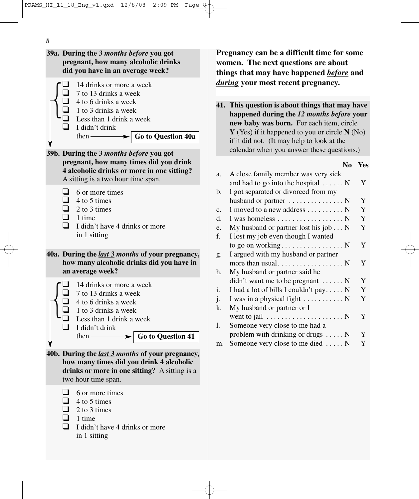*8*

 $\bigg\{$ **39a. During the** *3 months before* **you got pregnant, how many alcoholic drinks did you have in an average week?** ❑ 14 drinks or more a week  $\Box$  7 to 13 drinks a week  $\Box$  4 to 6 drinks a week  $\Box$  1 to 3 drinks a week ❑ Less than 1 drink a week ❑ I didn't drink then **39b. During the** *3 months before* **you got pregnant, how many times did you drink 4 alcoholic drinks or more in one sitting?** A sitting is a two hour time span.  $\Box$  6 or more times  $\Box$  4 to 5 times  $\Box$  2 to 3 times  $\Box$  1 time  $\Box$  I didn't have 4 drinks or more in 1 sitting **40a. During the** *last 3 months* **of your pregnancy, how many alcoholic drinks did you have in an average week?** ❑ 14 drinks or more a week  $\Box$  7 to 13 drinks a week  $\Box$  4 to 6 drinks a week  $\Box$  1 to 3 drinks a week ❑ Less than 1 drink a week  $\Box$  I didn't drink then — **40b. During the** *last 3 months* **of your pregnancy, how many times did you drink 4 alcoholic drinks or more in one sitting?** A sitting is a two hour time span. ❑ 6 or more times  $\Box$  4 to 5 times  $\Box$  2 to 3 times  $\Box$  1 time  $\Box$  I didn't have 4 drinks or more in 1 sitting **Go to Question 41 Go to Question 40a** {<br>|

**Pregnancy can be a difficult time for some women. The next questions are about things that may have happened** *before* **and** *during* **your most recent pregnancy.**

**41. This question is about things that may have happened during the** *12 months before* **your new baby was born.** For each item, circle **Y** (Yes) if it happened to you or circle **N** (No) if it did not. (It may help to look at the calendar when you answer these questions.)

**No Yes**

| a.             | A close family member was very sick                      |   |
|----------------|----------------------------------------------------------|---|
|                | and had to go into the hospital $\dots \dots N$          | Y |
| b.             | I got separated or divorced from my                      |   |
|                | husband or partner $\dots \dots \dots \dots \dots$       | Y |
| $\mathbf{C}$ . | I moved to a new address N                               | Y |
| d.             | I was homeless N                                         | Y |
| e.             | My husband or partner lost his job N                     | Y |
| f.             | I lost my job even though I wanted                       |   |
|                |                                                          | Y |
| g.             | I argued with my husband or partner                      |   |
|                |                                                          | Y |
| h.             | My husband or partner said he                            |   |
|                | $\text{d}$ didn't want me to be pregnant $\dots \dots N$ | Y |
| i.             | I had a lot of bills I couldn't pay $N$                  | Y |
| j.             | I was in a physical fight $\dots \dots \dots \dots$      | Y |
| k.             | My husband or partner or I                               |   |
|                | went to jail $\dots \dots \dots \dots \dots \dots \dots$ | Y |
| 1.             | Someone very close to me had a                           |   |
|                | problem with drinking or drugs $\dots$ .                 | Y |
| m.             | Someone very close to me died  N                         | Y |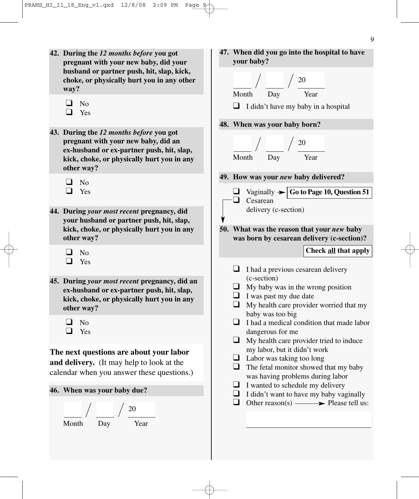- **42. During the** *12 months before* **you got pregnant with your new baby, did your husband or partner push, hit, slap, kick, choke, or physically hurt you in any other way?**
	- ❑ No
	- ❑ Yes
- **43. During the** *12 months before* **you got pregnant with your new baby, did an ex-husband or ex-partner push, hit, slap, kick, choke, or physically hurt you in any other way?**
	- ❑ No
	- ❑ Yes
- **44. During** *your most recent* **pregnancy, did your husband or partner push, hit, slap, kick, choke, or physically hurt you in any other way?**
	- ❑ No
	- ❑ Yes
- **45. During** *your most recent* **pregnancy, did an ex-husband or ex-partner push, hit, slap, kick, choke, or physically hurt you in any other way?**
	- ❑ No
	- ❑ Yes

# **The next questions are about your labor**

**and delivery.** (It may help to look at the calendar when you answer these questions.)

#### **46. When was your baby due?**



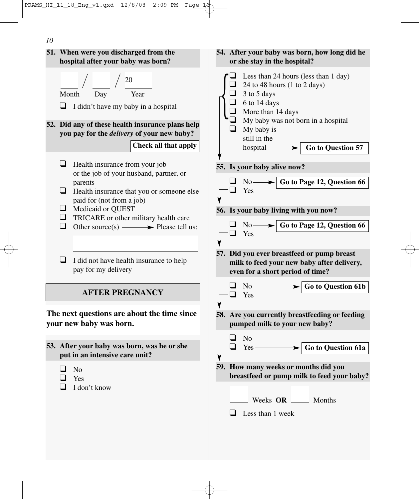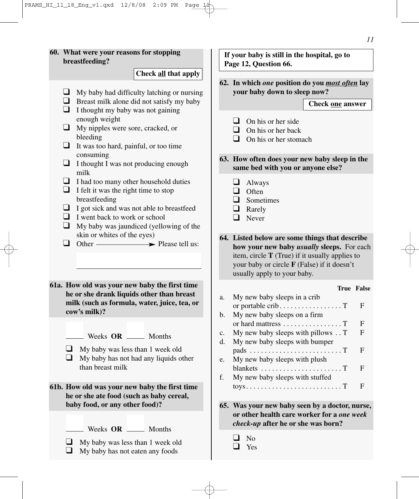**60. What were your reasons for stopping breastfeeding?**   $\Box$  My baby had difficulty latching or nursing  $\Box$  Breast milk alone did not satisfy my baby  $\Box$  I thought my baby was not gaining enough weight ❑ My nipples were sore, cracked, or bleeding  $\Box$  It was too hard, painful, or too time consuming ❑ I thought I was not producing enough milk ❑ I had too many other household duties  $\Box$  I felt it was the right time to stop breastfeeding  $\Box$  I got sick and was not able to breastfeed  $\Box$  I went back to work or school  $\Box$  My baby was jaundiced (yellowing of the skin or whites of the eyes)  $\Box$  Other  $\longrightarrow$  Please tell us: **61a. How old was your new baby the first time he or she drank liquids other than breast milk (such as formula, water, juice, tea, or cow's milk)?** Weeks OR Months  $\Box$  My baby was less than 1 week old  $\Box$  My baby has not had any liquids other than breast milk **61b. How old was your new baby the first time he or she ate food (such as baby cereal, baby food, or any other food)?**  Weeks OR \_\_\_\_\_ Months ❑ My baby was less than 1 week old  $\Box$  My baby has not eaten any foods **Check all that apply 62. In which** *one* **position do you** *most often* **lay your baby down to sleep now?**   $\Box$  On his or her side  $\Box$  On his or her back  $\Box$  On his or her stomach **63. How often does your new baby sleep in the same bed with you or anyone else?** ❑ Always ❑ Often ❑ Sometimes ❑ Rarely ❑ Never **64. Listed below are some things that describe how your new baby** *usually* **sleeps.** For each item, circle **T** (True) if it usually applies to your baby or circle **F** (False) if it doesn't usually apply to your baby. **True False** a. My new baby sleeps in a crib or portable crib.  $\dots$  . . . . . . . . . . . . .  $T$  F b. My new baby sleeps on a firm or hard mattress . . . . . . . . . . . . . . . . T F c. My new baby sleeps with pillows  $\cdot$ . T F d. My new baby sleeps with bumper pads . . . . . . . . . . . . . . . . . . . . . . . . . T F e. My new baby sleeps with plush blankets . . . . . . . . . . . . . . . . . . . . . . T F f. My new baby sleeps with stuffed  $toys. \ldots \ldots \ldots \ldots \ldots \ldots \ldots \ldots \ldots \ldots \text{T}$  F **65. Was your new baby seen by a doctor, nurse, or other health care worker for a** *one week check-up* **after he or she was born?** ❑ No ❑ Yes **Check one answer If your baby is still in the hospital, go to Page 12, Question 66.**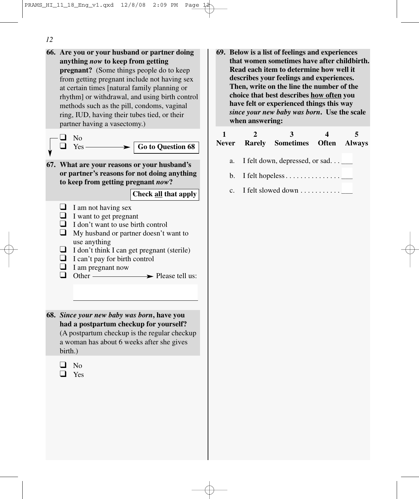*12*

- **66. Are you or your husband or partner doing anything** *now* **to keep from getting pregnant?** (Some things people do to keep from getting pregnant include not having sex at certain times [natural family planning or rhythm] or withdrawal, and using birth control methods such as the pill, condoms, vaginal ring, IUD, having their tubes tied, or their partner having a vasectomy.) ❑ No Yes -**67. What are your reasons or your husband's or partner's reasons for not doing anything to keep from getting pregnant** *now***?**   $\Box$  I am not having sex  $\Box$  I want to get pregnant  $\Box$  I don't want to use birth control ❑ My husband or partner doesn't want to use anything  $\Box$  I don't think I can get pregnant (sterile)  $\Box$  I can't pay for birth control ❑ I am pregnant now  $\blacktriangleright$  Please tell us: **68.** *Since your new baby was born***, have you had a postpartum checkup for yourself?**  (A postpartum checkup is the regular checkup a woman has about 6 weeks after she gives birth.) ❑ No ❑ Yes **Check all that apply Go to Question 68**
- **69. Below is a list of feelings and experiences that women sometimes have after childbirth. Read each item to determine how well it describes your feelings and experiences. Then, write on the line the number of the choice that best describes how often you have felt or experienced things this way** *since your new baby was born***. Use the scale when answering:**

|                |                                            | Never Rarely Sometimes Often Always          |  |  |
|----------------|--------------------------------------------|----------------------------------------------|--|--|
|                | a. I felt down, depressed, or sad $\qquad$ |                                              |  |  |
|                | b. I felt hopeless $\Box$                  |                                              |  |  |
| $\mathbf{c}$ . |                                            | I felt slowed down $\dots \dots \dots \dots$ |  |  |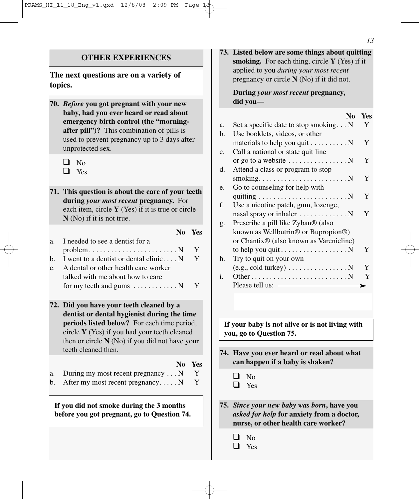**The next questions are on a variety of topics.**

**70.** *Before* **you got pregnant with your new baby, had you ever heard or read about emergency birth control (the "morningafter pill")?** This combination of pills is used to prevent pregnancy up to 3 days after unprotected sex.

| I |
|---|
|   |

❑ Yes

**71. This question is about the care of your teeth during** *your most recent* **pregnancy.** For each item, circle **Y** (Yes) if it is true or circle **N** (No) if it is not true.

|         |                                                                     | No Yes |
|---------|---------------------------------------------------------------------|--------|
| $a_{-}$ | I needed to see a dentist for a                                     |        |
|         | $problem \ldots \ldots \ldots \ldots \ldots \ldots \ldots \ldots N$ |        |
|         | b. I went to a dentist or dental clinic $N$                         | Y      |
|         | A dental or other health care worker                                |        |
|         | talked with me about how to care                                    |        |
|         | for my teeth and gums $\dots \dots \dots \dots N$ Y                 |        |

- **72. Did you have your teeth cleaned by a dentist or dental hygienist during the time periods listed below?** For each time period, circle **Y** (Yes) if you had your teeth cleaned then or circle **N** (No) if you did not have your teeth cleaned then.
- **No Yes** a. During my most recent pregnancy . . . N Y b. After my most recent pregnancy.....  $N$  Y

**If you did not smoke during the 3 months before you got pregnant, go to Question 74.** **73. Listed below are some things about quitting smoking.** For each thing, circle **Y** (Yes) if it applied to you *during your most recent* pregnancy or circle **N** (No) if it did not.

### **During** *your most recent* **pregnancy, did you—**

|    | N <sub>0</sub>                                         | Yes |
|----|--------------------------------------------------------|-----|
| a. | Set a specific date to stop smoking $N$                | Y   |
| b. | Use booklets, videos, or other                         |     |
|    | materials to help you quit $\dots \dots \dots$         | Y   |
| c. | Call a national or state quit line                     |     |
|    | or go to a website $\dots \dots \dots \dots \dots$     | Y   |
| d. | Attend a class or program to stop                      |     |
|    |                                                        | Y   |
| e. | Go to counseling for help with                         |     |
|    |                                                        | Y   |
| f. | Use a nicotine patch, gum, lozenge,                    |     |
|    | nasal spray or inhaler $\dots \dots \dots \dots$       | Y   |
| g. | Prescribe a pill like Zyban <sup>®</sup> (also         |     |
|    | known as Wellbutrin® or Bupropion®)                    |     |
|    | or Chantix® (also known as Varenicline)                |     |
|    | to help you quit $\dots \dots \dots \dots \dots \dots$ | Y   |
| h. | Try to quit on your own                                |     |
|    | $(e.g., cold$ turkey) $\dots \dots \dots \dots \dots$  | Y   |
| i. |                                                        | Y   |
|    | Please tell us:                                        |     |

**If your baby is not alive or is not living with you, go to Question 75.**

- **74. Have you ever heard or read about what can happen if a baby is shaken?**
	- ❑ No ❑ Yes
- **75.** *Since your new baby was born***, have you** *asked for help* **for anxiety from a doctor, nurse, or other health care worker?**
	- ❑ No

❑ Yes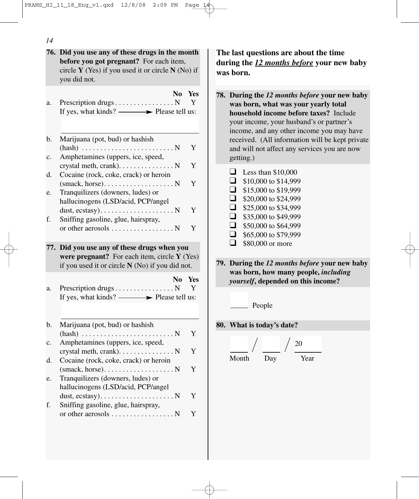| 14       |                                                                                                                                                                     |                                                                                                            |
|----------|---------------------------------------------------------------------------------------------------------------------------------------------------------------------|------------------------------------------------------------------------------------------------------------|
|          | 76. Did you use any of these drugs in the month<br>before you got pregnant? For each item,<br>circle $Y$ (Yes) if you used it or circle $N$ (No) if<br>you did not. | The last que<br>during the 1<br>was born.                                                                  |
| a.<br>b. | No<br><b>Yes</b><br>Prescription drugs N<br>Y<br>If yes, what kinds? $\longrightarrow$ Please tell us:<br>Marijuana (pot, bud) or hashish                           | 78. During th<br>was born<br>household<br>your incor<br>income, a<br>received.                             |
| c.       | Y<br>Amphetamines (uppers, ice, speed,<br>$crystal$ meth, $crank)$ . N<br>Y                                                                                         | and will n<br>getting.)                                                                                    |
| d.<br>e. | Cocaine (rock, coke, crack) or heroin<br>Y<br>Tranquilizers (downers, ludes) or                                                                                     | ⊔<br>Less <sup>®</sup><br>$\Box$<br>\$10,0<br>$\Box$<br>\$15,0                                             |
| f.       | hallucinogens (LSD/acid, PCP/angel<br>Y<br>Sniffing gasoline, glue, hairspray,<br>or other aerosols N<br>Y                                                          | $\Box$<br>\$20,0<br>$\Box$<br>\$25,0<br>$\Box$<br>\$35,0<br>$\Box$<br>\$50,0<br>$\Box$<br>\$65,0<br>$\Box$ |
|          | 77. Did you use any of these drugs when you<br>were pregnant? For each item, circle $Y$ (Yes)<br>if you used it or circle $N(No)$ if you did not.                   | \$80,0<br>79. During th<br>was born                                                                        |
| a.       | N <sub>0</sub><br><b>Yes</b><br>Y<br>If yes, what kinds? $\longrightarrow$ Please tell us:                                                                          | yourself,<br>Pe                                                                                            |
| b.       | Marijuana (pot, bud) or hashish                                                                                                                                     | 80. What is t                                                                                              |
| c.       | Y<br>Amphetamines (uppers, ice, speed,<br>Y                                                                                                                         |                                                                                                            |
| d.       | crystal meth, $crank)$ . N<br>Cocaine (rock, coke, crack) or heroin<br>$\mathbf Y$                                                                                  | Month                                                                                                      |
| e.       | Tranquilizers (downers, ludes) or<br>hallucinogens (LSD/acid, PCP/angel                                                                                             |                                                                                                            |
| f.       | Y<br>Sniffing gasoline, glue, hairspray,<br>or other aerosols N<br>Y                                                                                                |                                                                                                            |
|          |                                                                                                                                                                     |                                                                                                            |

**Extions are about the time 2** months before your new baby

**78. During the** *12 months before* **your new baby** , what was your yearly total d income before taxes? Include me, your husband's or partner's and any other income you may have  $(All information will be kept private)$ not affect any services you are now

|              | Less than \$10,000   |
|--------------|----------------------|
|              | \$10,000 to \$14,999 |
|              | \$15,000 to \$19,999 |
| l 1          | \$20,000 to \$24,999 |
| $\mathbf{I}$ | \$25,000 to \$34,999 |
|              | \$35,000 to \$49,999 |
|              | \$50,000 to \$64,999 |
|              | \$65,000 to \$79,999 |
|              | \$80,000 or more     |
|              |                      |

**79. During the** *12 months before* **your new baby was born, how many people,** *including* depended on this income?

20

eople

**80. boday's date?** 

Day Year